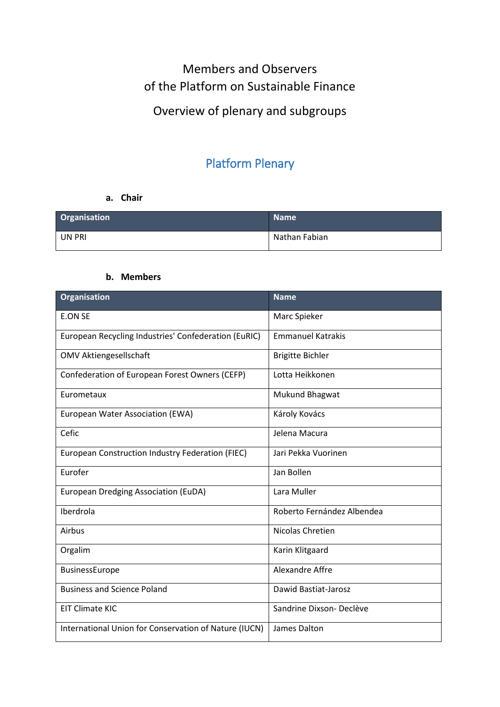# Members and Observers of the Platform on Sustainable Finance Overview of plenary and subgroups

## Platform Plenary

#### **a. Chair**

| Organisation | <b>Name</b>   |
|--------------|---------------|
| UN PRI       | Nathan Fabian |

#### **b. Members**

| <b>Organisation</b>                                   | <b>Name</b>                |
|-------------------------------------------------------|----------------------------|
| <b>E.ON SE</b>                                        | Marc Spieker               |
| European Recycling Industries' Confederation (EuRIC)  | <b>Emmanuel Katrakis</b>   |
| <b>OMV Aktiengesellschaft</b>                         | <b>Brigitte Bichler</b>    |
| Confederation of European Forest Owners (CEFP)        | Lotta Heikkonen            |
| Eurometaux                                            | Mukund Bhagwat             |
| European Water Association (EWA)                      | Károly Kovács              |
| Cefic                                                 | Jelena Macura              |
| European Construction Industry Federation (FIEC)      | Jari Pekka Vuorinen        |
| Eurofer                                               | Jan Bollen                 |
| European Dredging Association (EuDA)                  | Lara Muller                |
| Iberdrola                                             | Roberto Fernández Albendea |
| Airbus                                                | Nicolas Chretien           |
| Orgalim                                               | Karin Klitgaard            |
| BusinessEurope                                        | Alexandre Affre            |
| <b>Business and Science Poland</b>                    | Dawid Bastiat-Jarosz       |
| <b>EIT Climate KIC</b>                                | Sandrine Dixson-Declève    |
| International Union for Conservation of Nature (IUCN) | James Dalton               |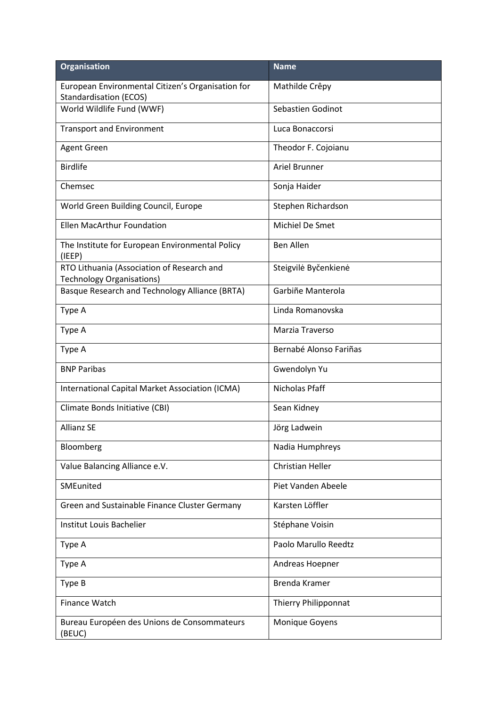| <b>Organisation</b>                                                                | <b>Name</b>                 |
|------------------------------------------------------------------------------------|-----------------------------|
| European Environmental Citizen's Organisation for<br><b>Standardisation (ECOS)</b> | Mathilde Crêpy              |
| World Wildlife Fund (WWF)                                                          | Sebastien Godinot           |
| <b>Transport and Environment</b>                                                   | Luca Bonaccorsi             |
| <b>Agent Green</b>                                                                 | Theodor F. Cojoianu         |
| <b>Birdlife</b>                                                                    | Ariel Brunner               |
| Chemsec                                                                            | Sonja Haider                |
| World Green Building Council, Europe                                               | Stephen Richardson          |
| <b>Ellen MacArthur Foundation</b>                                                  | Michiel De Smet             |
| The Institute for European Environmental Policy<br>(IEEP)                          | <b>Ben Allen</b>            |
| RTO Lithuania (Association of Research and<br><b>Technology Organisations)</b>     | Steigvilė Byčenkienė        |
| Basque Research and Technology Alliance (BRTA)                                     | Garbiñe Manterola           |
| Type A                                                                             | Linda Romanovska            |
| Type A                                                                             | Marzia Traverso             |
| Type A                                                                             | Bernabé Alonso Fariñas      |
| <b>BNP Paribas</b>                                                                 | Gwendolyn Yu                |
| International Capital Market Association (ICMA)                                    | Nicholas Pfaff              |
| Climate Bonds Initiative (CBI)                                                     | Sean Kidney                 |
| <b>Allianz SE</b>                                                                  | Jörg Ladwein                |
| Bloomberg                                                                          | Nadia Humphreys             |
| Value Balancing Alliance e.V.                                                      | <b>Christian Heller</b>     |
| SMEunited                                                                          | Piet Vanden Abeele          |
| Green and Sustainable Finance Cluster Germany                                      | Karsten Löffler             |
| Institut Louis Bachelier                                                           | Stéphane Voisin             |
| Type A                                                                             | Paolo Marullo Reedtz        |
| Type A                                                                             | Andreas Hoepner             |
| Type B                                                                             | Brenda Kramer               |
| Finance Watch                                                                      | <b>Thierry Philipponnat</b> |
| Bureau Européen des Unions de Consommateurs<br>(BEUC)                              | Monique Goyens              |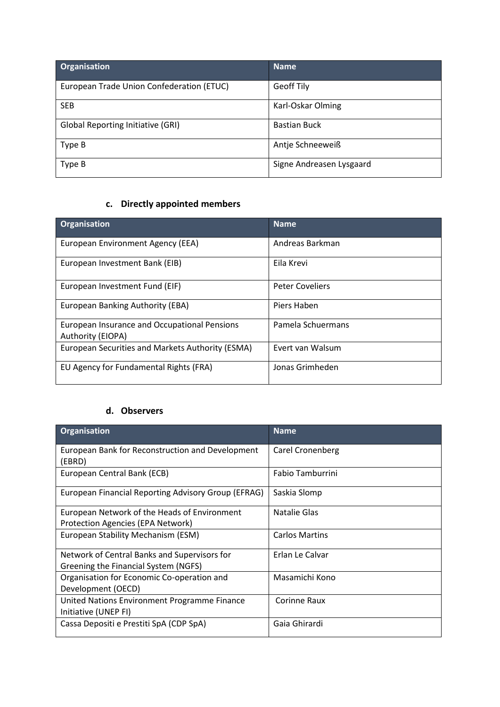| <b>Organisation</b>                       | Name                     |
|-------------------------------------------|--------------------------|
| European Trade Union Confederation (ETUC) | Geoff Tily               |
| <b>SEB</b>                                | Karl-Oskar Olming        |
| <b>Global Reporting Initiative (GRI)</b>  | <b>Bastian Buck</b>      |
| Type B                                    | Antje Schneeweiß         |
| Type B                                    | Signe Andreasen Lysgaard |

## **c. Directly appointed members**

| <b>Organisation</b>                                               | <b>Name</b>            |
|-------------------------------------------------------------------|------------------------|
| European Environment Agency (EEA)                                 | Andreas Barkman        |
| European Investment Bank (EIB)                                    | Eila Krevi             |
| European Investment Fund (EIF)                                    | <b>Peter Coveliers</b> |
| European Banking Authority (EBA)                                  | Piers Haben            |
| European Insurance and Occupational Pensions<br>Authority (EIOPA) | Pamela Schuermans      |
| European Securities and Markets Authority (ESMA)                  | Evert van Walsum       |
| EU Agency for Fundamental Rights (FRA)                            | Jonas Grimheden        |

## **d. Observers**

| <b>Organisation</b>                                                                      | <b>Name</b>           |
|------------------------------------------------------------------------------------------|-----------------------|
| European Bank for Reconstruction and Development<br>(EBRD)                               | Carel Cronenberg      |
| European Central Bank (ECB)                                                              | Fabio Tamburrini      |
| European Financial Reporting Advisory Group (EFRAG)                                      | Saskia Slomp          |
| European Network of the Heads of Environment<br><b>Protection Agencies (EPA Network)</b> | Natalie Glas          |
| European Stability Mechanism (ESM)                                                       | <b>Carlos Martins</b> |
| Network of Central Banks and Supervisors for<br>Greening the Financial System (NGFS)     | Erlan Le Calvar       |
| Organisation for Economic Co-operation and<br>Development (OECD)                         | Masamichi Kono        |
| United Nations Environment Programme Finance<br>Initiative (UNEP FI)                     | Corinne Raux          |
| Cassa Depositi e Prestiti SpA (CDP SpA)                                                  | Gaia Ghirardi         |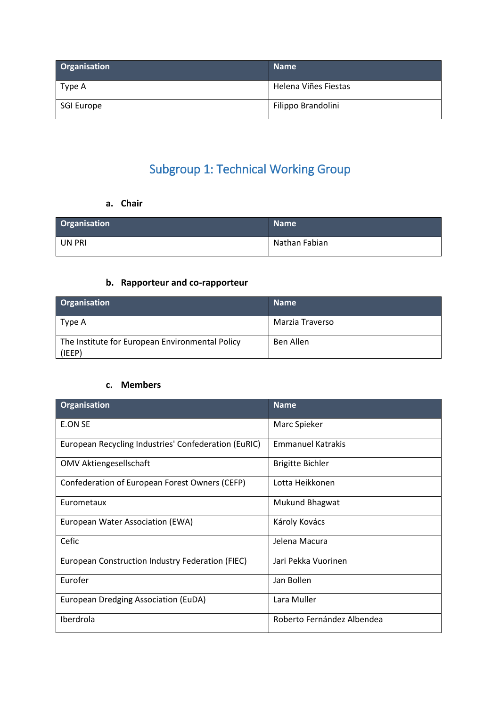| Organisation | <b>Name</b>          |
|--------------|----------------------|
| Type A       | Helena Viñes Fiestas |
| SGI Europe   | Filippo Brandolini   |

# Subgroup 1: Technical Working Group

**a. Chair**

| Organisation | <b>Name</b>   |
|--------------|---------------|
| UN PRI       | Nathan Fabian |

## **b. Rapporteur and co-rapporteur**

| <b>Organisation</b>                                       | <b>Name</b>     |
|-----------------------------------------------------------|-----------------|
| Type A                                                    | Marzia Traverso |
| The Institute for European Environmental Policy<br>(IEEP) | Ben Allen       |

#### **c. Members**

| Organisation                                         | <b>Name</b>                |
|------------------------------------------------------|----------------------------|
| E.ON SE                                              | Marc Spieker               |
| European Recycling Industries' Confederation (EuRIC) | <b>Emmanuel Katrakis</b>   |
| <b>OMV Aktiengesellschaft</b>                        | <b>Brigitte Bichler</b>    |
| Confederation of European Forest Owners (CEFP)       | Lotta Heikkonen            |
| Eurometaux                                           | Mukund Bhagwat             |
| European Water Association (EWA)                     | Károly Kovács              |
| Cefic                                                | Jelena Macura              |
| European Construction Industry Federation (FIEC)     | Jari Pekka Vuorinen        |
| Eurofer                                              | Jan Bollen                 |
| European Dredging Association (EuDA)                 | Lara Muller                |
| Iberdrola                                            | Roberto Fernández Albendea |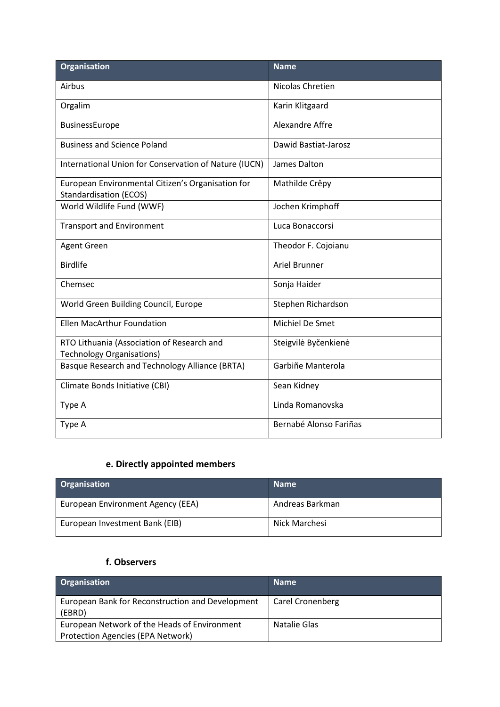| <b>Organisation</b>                                                                | <b>Name</b>            |
|------------------------------------------------------------------------------------|------------------------|
| Airbus                                                                             | Nicolas Chretien       |
| Orgalim                                                                            | Karin Klitgaard        |
| BusinessEurope                                                                     | Alexandre Affre        |
| <b>Business and Science Poland</b>                                                 | Dawid Bastiat-Jarosz   |
| International Union for Conservation of Nature (IUCN)                              | James Dalton           |
| European Environmental Citizen's Organisation for<br><b>Standardisation (ECOS)</b> | Mathilde Crêpy         |
| World Wildlife Fund (WWF)                                                          | Jochen Krimphoff       |
| <b>Transport and Environment</b>                                                   | Luca Bonaccorsi        |
| Agent Green                                                                        | Theodor F. Cojoianu    |
| <b>Birdlife</b>                                                                    | <b>Ariel Brunner</b>   |
| Chemsec                                                                            | Sonja Haider           |
| World Green Building Council, Europe                                               | Stephen Richardson     |
| <b>Ellen MacArthur Foundation</b>                                                  | Michiel De Smet        |
| RTO Lithuania (Association of Research and<br><b>Technology Organisations)</b>     | Steigvilė Byčenkienė   |
| Basque Research and Technology Alliance (BRTA)                                     | Garbiñe Manterola      |
| Climate Bonds Initiative (CBI)                                                     | Sean Kidney            |
| Type A                                                                             | Linda Romanovska       |
| Type A                                                                             | Bernabé Alonso Fariñas |

## **e. Directly appointed members**

| <b>Organisation</b>               | <b>Name</b>     |
|-----------------------------------|-----------------|
| European Environment Agency (EEA) | Andreas Barkman |
| European Investment Bank (EIB)    | Nick Marchesi   |

## **f. Observers**

| <b>Organisation</b>                                        | <b>Name</b>             |
|------------------------------------------------------------|-------------------------|
| European Bank for Reconstruction and Development<br>(EBRD) | <b>Carel Cronenberg</b> |
| European Network of the Heads of Environment               | Natalie Glas            |
| Protection Agencies (EPA Network)                          |                         |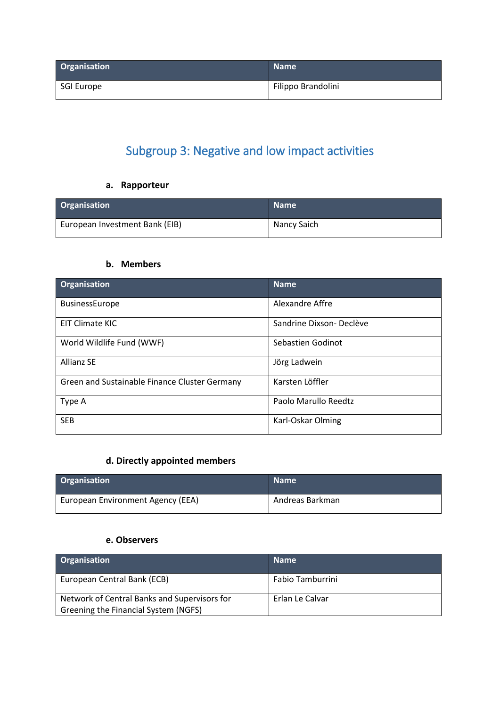| <b>Organisation</b> | <b>Name</b>        |
|---------------------|--------------------|
| SGI Europe          | Filippo Brandolini |

## Subgroup 3: Negative and low impact activities

## **a. Rapporteur**

| <b>Organisation</b>            | <b>Name</b> |
|--------------------------------|-------------|
| European Investment Bank (EIB) | Nancy Saich |

### **b. Members**

| Organisation                                  | <b>Name</b>             |
|-----------------------------------------------|-------------------------|
| <b>BusinessEurope</b>                         | Alexandre Affre         |
| EIT Climate KIC                               | Sandrine Dixson-Declève |
| World Wildlife Fund (WWF)                     | Sebastien Godinot       |
| <b>Allianz SE</b>                             | Jörg Ladwein            |
| Green and Sustainable Finance Cluster Germany | Karsten Löffler         |
| Type A                                        | Paolo Marullo Reedtz    |
| <b>SEB</b>                                    | Karl-Oskar Olming       |

## **d. Directly appointed members**

| <b>Organisation</b>               | <b>Name</b>     |
|-----------------------------------|-----------------|
| European Environment Agency (EEA) | Andreas Barkman |

#### **e. Observers**

| <b>Organisation</b>                                                                  | <b>Name</b>      |
|--------------------------------------------------------------------------------------|------------------|
| European Central Bank (ECB)                                                          | Fabio Tamburrini |
| Network of Central Banks and Supervisors for<br>Greening the Financial System (NGFS) | Erlan Le Calvar  |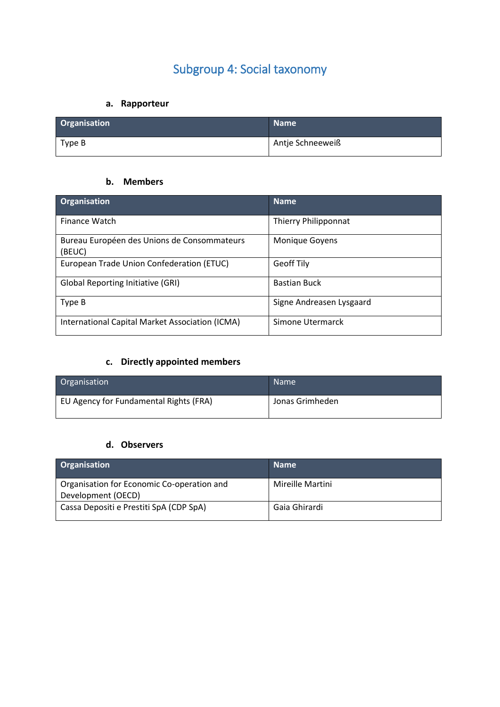# Subgroup 4: Social taxonomy

## **a. Rapporteur**

| <b>Organisation</b> | <b>Name</b>      |
|---------------------|------------------|
| Type B              | Antje Schneeweiß |

#### **b. Members**

| Organisation                                          | <b>Name</b>              |
|-------------------------------------------------------|--------------------------|
| Finance Watch                                         | Thierry Philipponnat     |
| Bureau Européen des Unions de Consommateurs<br>(BEUC) | Monique Goyens           |
| European Trade Union Confederation (ETUC)             | <b>Geoff Tily</b>        |
| <b>Global Reporting Initiative (GRI)</b>              | <b>Bastian Buck</b>      |
| Type B                                                | Signe Andreasen Lysgaard |
| International Capital Market Association (ICMA)       | Simone Utermarck         |

## **c. Directly appointed members**

| Organisation                           | <b>Name</b>     |
|----------------------------------------|-----------------|
| EU Agency for Fundamental Rights (FRA) | Jonas Grimheden |

#### **d. Observers**

| Organisation                                                     | <b>Name</b>      |
|------------------------------------------------------------------|------------------|
| Organisation for Economic Co-operation and<br>Development (OECD) | Mireille Martini |
| Cassa Depositi e Prestiti SpA (CDP SpA)                          | Gaia Ghirardi    |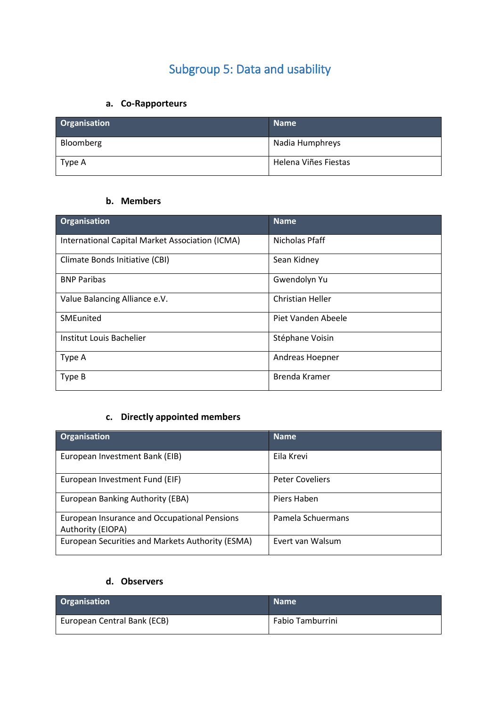## Subgroup 5: Data and usability

## **a. Co-Rapporteurs**

| Organisation | <b>Name</b>          |
|--------------|----------------------|
| Bloomberg    | Nadia Humphreys      |
| Type A       | Helena Viñes Fiestas |

### **b. Members**

| <b>Organisation</b>                             | <b>Name</b>             |
|-------------------------------------------------|-------------------------|
| International Capital Market Association (ICMA) | Nicholas Pfaff          |
| Climate Bonds Initiative (CBI)                  | Sean Kidney             |
| <b>BNP Paribas</b>                              | Gwendolyn Yu            |
| Value Balancing Alliance e.V.                   | <b>Christian Heller</b> |
| SMEunited                                       | Piet Vanden Abeele      |
| Institut Louis Bachelier                        | Stéphane Voisin         |
| Type A                                          | Andreas Hoepner         |
| Type B                                          | Brenda Kramer           |

## **c. Directly appointed members**

| Organisation                                                      | <b>Name</b>            |
|-------------------------------------------------------------------|------------------------|
| European Investment Bank (EIB)                                    | Eila Krevi             |
| European Investment Fund (EIF)                                    | <b>Peter Coveliers</b> |
| European Banking Authority (EBA)                                  | Piers Haben            |
| European Insurance and Occupational Pensions<br>Authority (EIOPA) | Pamela Schuermans      |
| European Securities and Markets Authority (ESMA)                  | Evert van Walsum       |

## **d. Observers**

| Organisation                | <b>Name</b>      |
|-----------------------------|------------------|
| European Central Bank (ECB) | Fabio Tamburrini |